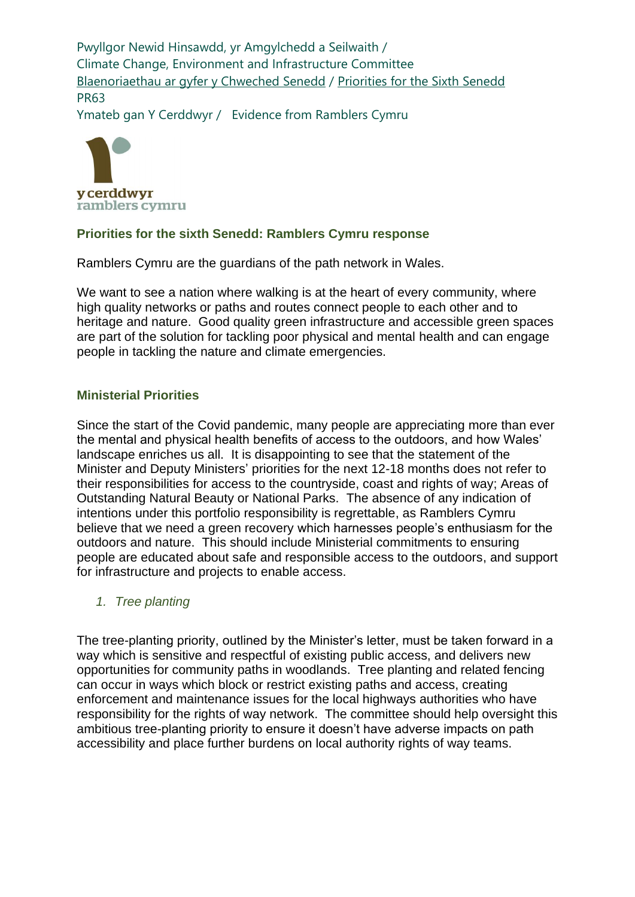Pwyllgor Newid Hinsawdd, yr Amgylchedd a Seilwaith / Climate Change, Environment and Infrastructure Committee [Blaenoriaethau ar gyfer y Chweched Senedd](https://busnes.senedd.cymru/mgConsultationDisplay.aspx?id=427&RPID=1026452002&cp=yes) / [Priorities for the Sixth Senedd](https://business.senedd.wales/mgConsultationDisplay.aspx?id=427&RPID=1026452002&cp=yes) PR63

Ymateb gan Y Cerddwyr / Evidence from Ramblers Cymru



# **Priorities for the sixth Senedd: Ramblers Cymru response**

Ramblers Cymru are the guardians of the path network in Wales.

We want to see a nation where walking is at the heart of every community, where high quality networks or paths and routes connect people to each other and to heritage and nature. Good quality green infrastructure and accessible green spaces are part of the solution for tackling poor physical and mental health and can engage people in tackling the nature and climate emergencies.

# **Ministerial Priorities**

Since the start of the Covid pandemic, many people are appreciating more than ever the mental and physical health benefits of access to the outdoors, and how Wales' landscape enriches us all. It is disappointing to see that the statement of the Minister and Deputy Ministers' priorities for the next 12-18 months does not refer to their responsibilities for access to the countryside, coast and rights of way; Areas of Outstanding Natural Beauty or National Parks. The absence of any indication of intentions under this portfolio responsibility is regrettable, as Ramblers Cymru believe that we need a green recovery which harnesses people's enthusiasm for the outdoors and nature. This should include Ministerial commitments to ensuring people are educated about safe and responsible access to the outdoors, and support for infrastructure and projects to enable access.

### *1. Tree planting*

The tree-planting priority, outlined by the Minister's letter, must be taken forward in a way which is sensitive and respectful of existing public access, and delivers new opportunities for community paths in woodlands. Tree planting and related fencing can occur in ways which block or restrict existing paths and access, creating enforcement and maintenance issues for the local highways authorities who have responsibility for the rights of way network. The committee should help oversight this ambitious tree-planting priority to ensure it doesn't have adverse impacts on path accessibility and place further burdens on local authority rights of way teams.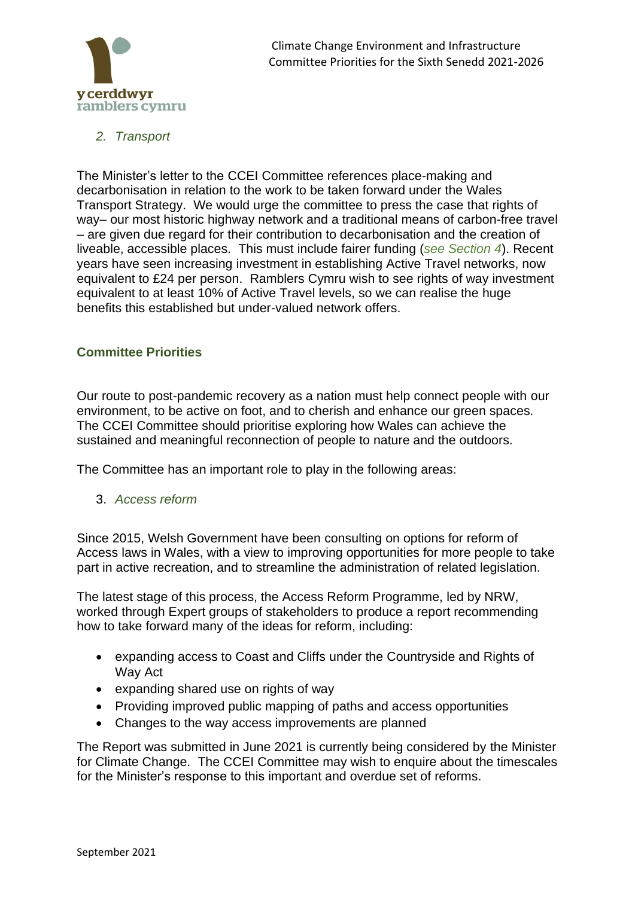

*2. Transport*

The Minister's letter to the CCEI Committee references place-making and decarbonisation in relation to the work to be taken forward under the Wales Transport Strategy. We would urge the committee to press the case that rights of way– our most historic highway network and a traditional means of carbon-free travel – are given due regard for their contribution to decarbonisation and the creation of liveable, accessible places. This must include fairer funding (*see Section 4*). Recent years have seen increasing investment in establishing Active Travel networks, now equivalent to £24 per person. Ramblers Cymru wish to see rights of way investment equivalent to at least 10% of Active Travel levels, so we can realise the huge benefits this established but under-valued network offers.

## **Committee Priorities**

Our route to post-pandemic recovery as a nation must help connect people with our environment, to be active on foot, and to cherish and enhance our green spaces. The CCEI Committee should prioritise exploring how Wales can achieve the sustained and meaningful reconnection of people to nature and the outdoors.

The Committee has an important role to play in the following areas:

3. *Access reform* 

Since 2015, Welsh Government have been consulting on options for reform of Access laws in Wales, with a view to improving opportunities for more people to take part in active recreation, and to streamline the administration of related legislation.

The latest stage of this process, the Access Reform Programme, led by NRW, worked through Expert groups of stakeholders to produce a report recommending how to take forward many of the ideas for reform, including:

- expanding access to Coast and Cliffs under the Countryside and Rights of Way Act
- expanding shared use on rights of way
- Providing improved public mapping of paths and access opportunities
- Changes to the way access improvements are planned

The Report was submitted in June 2021 is currently being considered by the Minister for Climate Change. The CCEI Committee may wish to enquire about the timescales for the Minister's response to this important and overdue set of reforms.